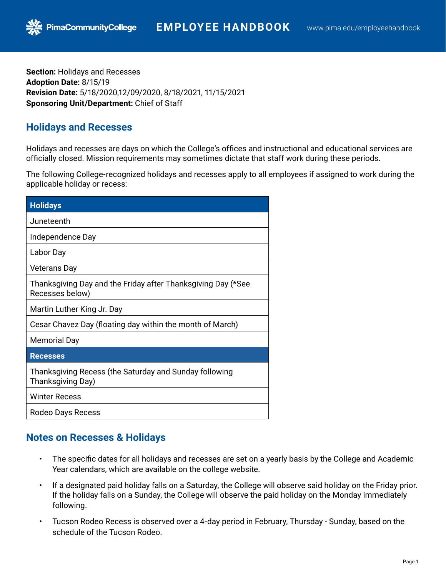**Section:** Holidays and Recesses **Adoption Date:** 8/15/19 **Revision Date:** 5/18/2020,12/09/2020, 8/18/2021, 11/15/2021 **Sponsoring Unit/Department:** Chief of Staff

## **Holidays and Recesses**

**PimaCommunityCollege** 

Holidays and recesses are days on which the College's offices and instructional and educational services are officially closed. Mission requirements may sometimes dictate that staff work during these periods.

The following College-recognized holidays and recesses apply to all employees if assigned to work during the applicable holiday or recess:

| <b>Holidays</b>                                                                 |
|---------------------------------------------------------------------------------|
| Juneteenth                                                                      |
| Independence Day                                                                |
| Labor Day                                                                       |
| <b>Veterans Day</b>                                                             |
| Thanksgiving Day and the Friday after Thanksgiving Day (*See<br>Recesses below) |
| Martin Luther King Jr. Day                                                      |
| Cesar Chavez Day (floating day within the month of March)                       |
| <b>Memorial Day</b>                                                             |
| <b>Recesses</b>                                                                 |
| Thanksgiving Recess (the Saturday and Sunday following<br>Thanksgiving Day)     |
| <b>Winter Recess</b>                                                            |
| Rodeo Days Recess                                                               |

## **Notes on Recesses & Holidays**

- The specific dates for all holidays and recesses are set on a yearly basis by the College and Academic Year calendars, which are available on the college website.
- If a designated paid holiday falls on a Saturday, the College will observe said holiday on the Friday prior. If the holiday falls on a Sunday, the College will observe the paid holiday on the Monday immediately following.
- Tucson Rodeo Recess is observed over a 4-day period in February, Thursday Sunday, based on the schedule of the Tucson Rodeo.